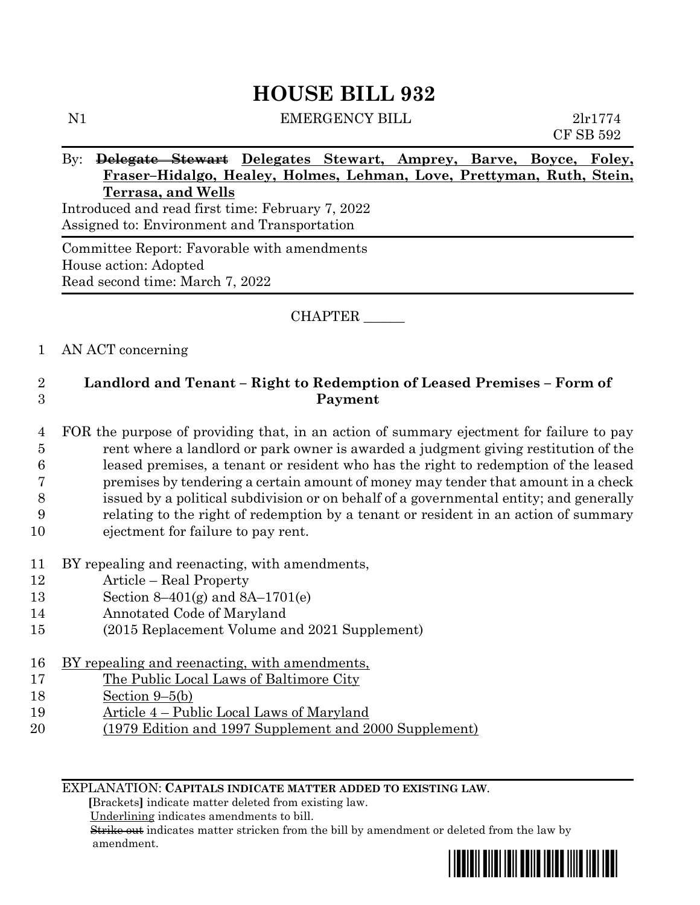# **HOUSE BILL 932**

| N1         | <b>EMERGENCY BILL</b>                                                 | 2lr1774   |
|------------|-----------------------------------------------------------------------|-----------|
|            |                                                                       | CF SB 592 |
| $\rm{By:}$ | Delegate Stewart Delegates Stewart, Amprey, Barve, Boyce, Foley,      |           |
|            | Fraser-Hidalgo, Healey, Holmes, Lehman, Love, Prettyman, Ruth, Stein, |           |
|            | Terrasa, and Wells                                                    |           |
|            | Introduced and read first time: February 7, 2022                      |           |
|            | Assigned to: Environment and Transportation                           |           |
|            | Committee Report: Favorable with amendments                           |           |
|            | House action: Adopted                                                 |           |

CHAPTER \_\_\_\_\_\_

## 1 AN ACT concerning

Read second time: March 7, 2022

# 2 **Landlord and Tenant – Right to Redemption of Leased Premises – Form of**  3 **Payment**

- 4 FOR the purpose of providing that, in an action of summary ejectment for failure to pay 5 rent where a landlord or park owner is awarded a judgment giving restitution of the 6 leased premises, a tenant or resident who has the right to redemption of the leased 7 premises by tendering a certain amount of money may tender that amount in a check 8 issued by a political subdivision or on behalf of a governmental entity; and generally 9 relating to the right of redemption by a tenant or resident in an action of summary 10 ejectment for failure to pay rent.
- 11 BY repealing and reenacting, with amendments,
- 12 Article Real Property
- 13 Section 8–401(g) and 8A–1701(e)
- 14 Annotated Code of Maryland
- 15 (2015 Replacement Volume and 2021 Supplement)
- 16 BY repealing and reenacting, with amendments,
- 17 The Public Local Laws of Baltimore City
- 18 Section 9–5(b)
- 19 Article 4 Public Local Laws of Maryland
- 20 (1979 Edition and 1997 Supplement and 2000 Supplement)

EXPLANATION: **CAPITALS INDICATE MATTER ADDED TO EXISTING LAW**.

 **[**Brackets**]** indicate matter deleted from existing law.

Underlining indicates amendments to bill.

 Strike out indicates matter stricken from the bill by amendment or deleted from the law by amendment.

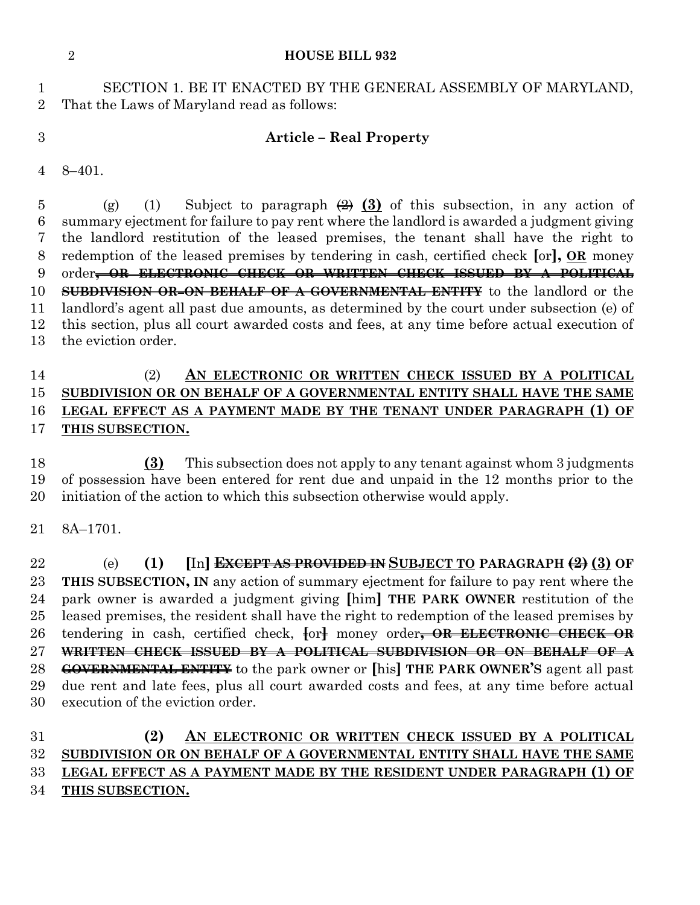#### **HOUSE BILL 932**

 SECTION 1. BE IT ENACTED BY THE GENERAL ASSEMBLY OF MARYLAND, That the Laws of Maryland read as follows:

## **Article – Real Property**

8–401.

5 (g) (1) Subject to paragraph  $\left(\frac{2}{2}\right)$  (3) of this subsection, in any action of summary ejectment for failure to pay rent where the landlord is awarded a judgment giving the landlord restitution of the leased premises, the tenant shall have the right to redemption of the leased premises by tendering in cash, certified check **[**or**], OR** money order**, OR ELECTRONIC CHECK OR WRITTEN CHECK ISSUED BY A POLITICAL SUBDIVISION OR ON BEHALF OF A GOVERNMENTAL ENTITY** to the landlord or the landlord's agent all past due amounts, as determined by the court under subsection (e) of this section, plus all court awarded costs and fees, at any time before actual execution of the eviction order.

# (2) **AN ELECTRONIC OR WRITTEN CHECK ISSUED BY A POLITICAL SUBDIVISION OR ON BEHALF OF A GOVERNMENTAL ENTITY SHALL HAVE THE SAME LEGAL EFFECT AS A PAYMENT MADE BY THE TENANT UNDER PARAGRAPH (1) OF THIS SUBSECTION.**

 **(3)** This subsection does not apply to any tenant against whom 3 judgments of possession have been entered for rent due and unpaid in the 12 months prior to the initiation of the action to which this subsection otherwise would apply.

8A–1701.

 (e) **(1) [**In**] EXCEPT AS PROVIDED IN SUBJECT TO PARAGRAPH (2) (3) OF THIS SUBSECTION, IN** any action of summary ejectment for failure to pay rent where the park owner is awarded a judgment giving **[**him**] THE PARK OWNER** restitution of the leased premises, the resident shall have the right to redemption of the leased premises by tendering in cash, certified check, **[**or**]** money order**, OR ELECTRONIC CHECK OR WRITTEN CHECK ISSUED BY A POLITICAL SUBDIVISION OR ON BEHALF OF A GOVERNMENTAL ENTITY** to the park owner or **[**his**] THE PARK OWNER'S** agent all past due rent and late fees, plus all court awarded costs and fees, at any time before actual execution of the eviction order.

## **(2) AN ELECTRONIC OR WRITTEN CHECK ISSUED BY A POLITICAL SUBDIVISION OR ON BEHALF OF A GOVERNMENTAL ENTITY SHALL HAVE THE SAME LEGAL EFFECT AS A PAYMENT MADE BY THE RESIDENT UNDER PARAGRAPH (1) OF THIS SUBSECTION.**